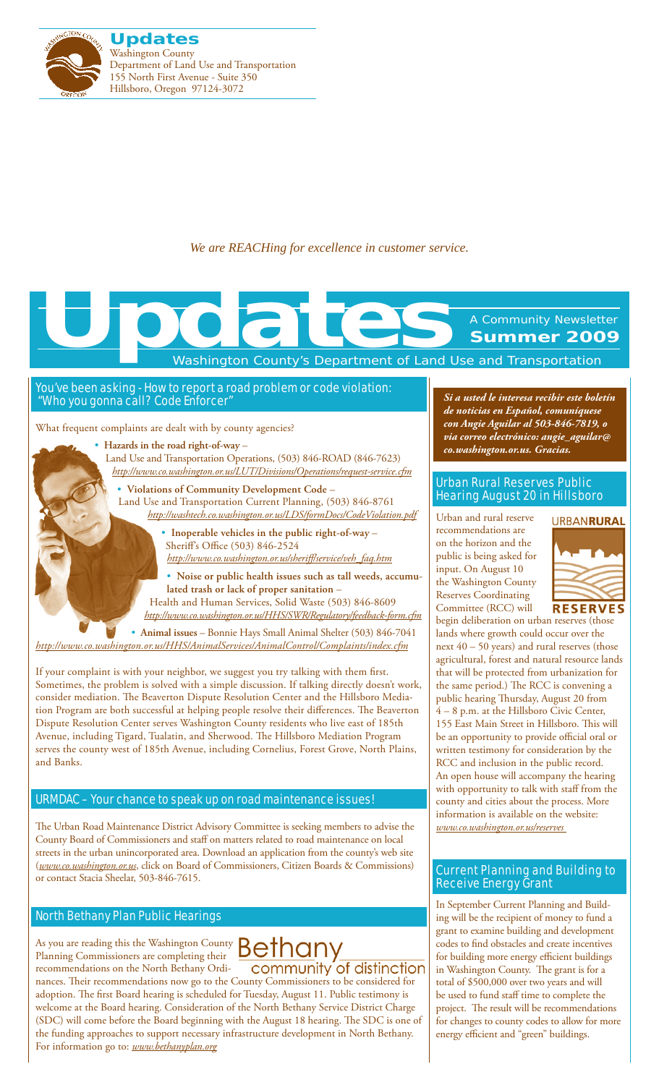

*We are REACHing for excellence in customer service.*

Washington County's Department of Land Use and Transportation

### You've been asking - How to report a road problem or code violation: "Who you gonna call? Code Enforcer"

What frequent complaints are dealt with by county agencies?

• **Hazards in the road right-of-way** – Land Use and Transportation Operations, (503) 846-ROAD (846-7623) *http://www.co.washington.or.us/LUT/Divisions/Operations/request-service.cfm*

**Voich** 

• **Violations of Community Development Code** – Land Use and Transportation Current Planning, (503) 846-8761 *http://washtech.co.washington.or.us/LDS/formDocs/CodeViolation.pdf*

> • **Inoperable vehicles in the public right-of-way** – Sheriff's Office (503) 846-2524

*http://www.co.washington.or.us/sheriff/service/veh\_faq.htm*

• **Noise or public health issues such as tall weeds, accumulated trash or lack of proper sanitation** – Health and Human Services, Solid Waste (503) 846-8609

*http://www.co.washington.or.us/HHS/SWR/Regulatory/feedback-form.cfm*

• **Animal issues** – Bonnie Hays Small Animal Shelter (503) 846-7041 *http://www.co.washington.or.us/HHS/AnimalServices/AnimalControl/Complaints/index.cfm*

If your complaint is with your neighbor, we suggest you try talking with them first. Sometimes, the problem is solved with a simple discussion. If talking directly doesn't work, consider mediation. The [Beaverton Dispute Resolution](http://www.beavertonoregon.gov/departments/disputeresolution/) Center and the [Hillsboro Media](http://www.ci.hillsboro.or.us/Police/Divisions/Mediation.aspx)[tion Program](http://www.ci.hillsboro.or.us/Police/Divisions/Mediation.aspx) are both successful at helping people resolve their differences. The [Beaverton](http://www.beavertonoregon.gov/departments/disputeresolution/)  [Dispute Resolution Center](http://www.beavertonoregon.gov/departments/disputeresolution/) serves Washington County residents who live east of 185th Avenue, including Tigard, Tualatin, and Sherwood. The [Hillsboro Mediation Program](http://www.ci.hillsboro.or.us/Police/Divisions/Mediation.aspx) serves the county west of 185th Avenue, including Cornelius, Forest Grove, North Plains, and Banks.

### URMDAC – Your chance to speak up on road maintenance issues!

The Urban Road Maintenance District Advisory Committee is seeking members to advise the County Board of Commissioners and staff on matters related to road maintenance on local streets in the urban unincorporated area. Download an application from the county's web site (*www.co.washington.or.us*, click on Board of Commissioners, Citizen Boards & Commissions) or contact Stacia Sheelar, 503-846-7615.

### North Bethany Plan Public Hearings

As you are reading this the Washington County  $\mathsf{Bern}$ Planning Commissioners are completing their recommendations on the North Bethany Ordi-

community of distinction nances. Their recommendations now go to the County Commissioners to be considered for adoption. The first Board hearing is scheduled for Tuesday, August 11. Public testimony is welcome at the Board hearing. Consideration of the North Bethany Service District Charge (SDC) will come before the Board beginning with the August 18 hearing. The SDC is one of the funding approaches to support necessary infrastructure development in North Bethany. For information go to: *www.bethanyplan.org*

*Si a usted le interesa recibir este boletín de noticias en Español, comuníquese con Angie Aguilar al 503-846-7819, o via correo electrónico: angie\_aguilar@ co.washington.or.us. Gracias.*

A Community Newsletter **Summer 2009**

### Urban Rural Reserves Public Hearing August 20 in Hillsboro

Urban and rural reserve recommendations are on the horizon and the public is being asked for input. On August 10 the Washington County Reserves Coordinating Committee (RCC) will



begin deliberation on urban reserves (those lands where growth could occur over the next 40 – 50 years) and rural reserves (those agricultural, forest and natural resource lands that will be protected from urbanization for the same period.) The RCC is convening a public hearing Thursday, August 20 from 4 – 8 p.m. at the Hillsboro Civic Center, 155 East Main Street in Hillsboro. This will be an opportunity to provide official oral or written testimony for consideration by the RCC and inclusion in the public record. An open house will accompany the hearing with opportunity to talk with staff from the county and cities about the process. More information is available on the website: *www.co.washington.or.us/reserves* 

### Current Planning and Building to Receive Energy Grant

In September Current Planning and Building will be the recipient of money to fund a grant to examine building and development codes to find obstacles and create incentives for building more energy efficient buildings in Washington County. The grant is for a total of \$500,000 over two years and will be used to fund staff time to complete the project. The result will be recommendations for changes to county codes to allow for more energy efficient and "green" buildings.